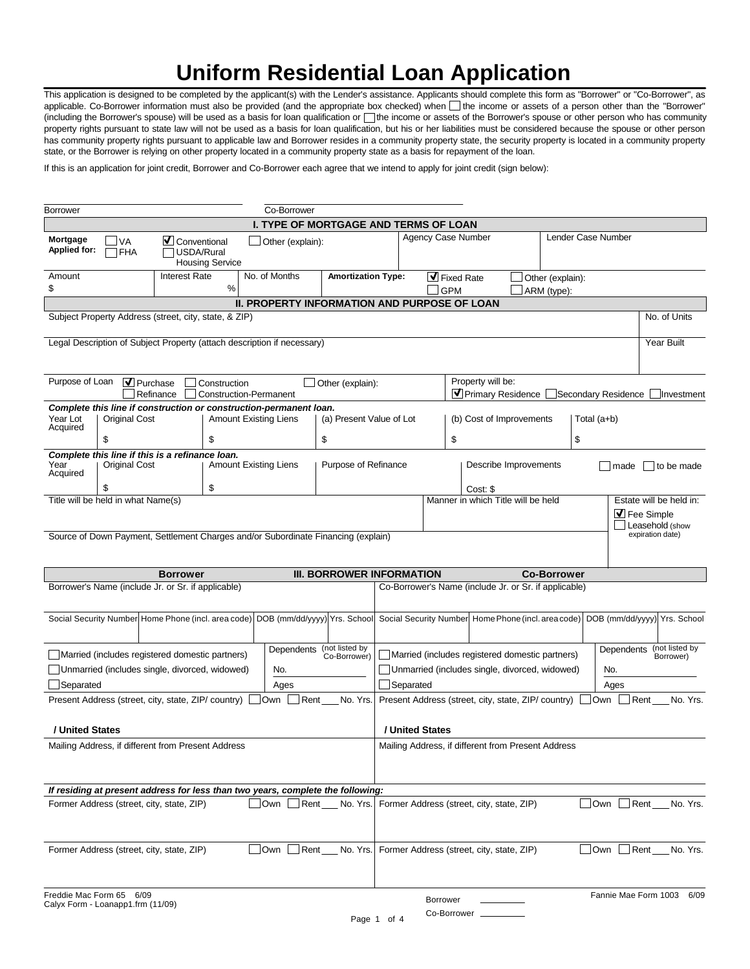## **Uniform Residential Loan Application**

This application is designed to be completed by the applicant(s) with the Lender's assistance. Applicants should complete this form as "Borrower" or "Co-Borrower", as applicable. Co-Borrower information must also be provided (and the appropriate box checked) when  $\Box$  the income or assets of a person other than the "Borrower" (including the Borrower's spouse) will be used as a basis for loan qualification or  $\Box$  the income or assets of the Borrower's spouse or other person who has community property rights pursuant to state law will not be used as a basis for loan qualification, but his or her liabilities must be considered because the spouse or other person has community property rights pursuant to applicable law and Borrower resides in a community property state, the security property is located in a community property state, or the Borrower is relying on other property located in a community property state as a basis for repayment of the loan.

If this is an application for joint credit, Borrower and Co-Borrower each agree that we intend to apply for joint credit (sign below):

| <b>Borrower</b>                                               |                                                                                                                 |                                                                                   |                                               | Co-Borrower                  |                                                     |                                                                 |                                                 |                   |                                                       |                    |                                            |                                                                                  |
|---------------------------------------------------------------|-----------------------------------------------------------------------------------------------------------------|-----------------------------------------------------------------------------------|-----------------------------------------------|------------------------------|-----------------------------------------------------|-----------------------------------------------------------------|-------------------------------------------------|-------------------|-------------------------------------------------------|--------------------|--------------------------------------------|----------------------------------------------------------------------------------|
|                                                               |                                                                                                                 |                                                                                   |                                               |                              | <b>I. TYPE OF MORTGAGE AND TERMS OF LOAN</b>        |                                                                 |                                                 |                   |                                                       |                    |                                            |                                                                                  |
| Mortgage<br><b>Applied for:</b>                               | $\sqcup$ VA<br>■ Conventional<br>Other (explain):<br><b>USDA/Rural</b><br><b>TFHA</b><br><b>Housing Service</b> |                                                                                   |                                               |                              |                                                     |                                                                 | <b>Agency Case Number</b><br>Lender Case Number |                   |                                                       |                    |                                            |                                                                                  |
| Amount                                                        |                                                                                                                 | <b>Interest Rate</b>                                                              |                                               | No. of Months                | <b>Amortization Type:</b>                           |                                                                 | $\blacksquare$ Fixed Rate                       |                   |                                                       | Other (explain):   |                                            |                                                                                  |
| \$                                                            |                                                                                                                 |                                                                                   | $\%$                                          |                              |                                                     |                                                                 | $\square$ GPM                                   |                   |                                                       | ARM (type):        |                                            |                                                                                  |
|                                                               |                                                                                                                 |                                                                                   |                                               |                              | <b>II. PROPERTY INFORMATION AND PURPOSE OF LOAN</b> |                                                                 |                                                 |                   |                                                       |                    |                                            |                                                                                  |
|                                                               |                                                                                                                 | Subject Property Address (street, city, state, & ZIP)                             |                                               |                              |                                                     |                                                                 |                                                 |                   |                                                       |                    |                                            | No. of Units                                                                     |
|                                                               |                                                                                                                 | Legal Description of Subject Property (attach description if necessary)           |                                               |                              |                                                     |                                                                 |                                                 |                   |                                                       |                    |                                            | <b>Year Built</b>                                                                |
| Purpose of Loan                                               |                                                                                                                 | $\nabla$ Purchase<br>Refinance                                                    | Construction<br><b>Construction-Permanent</b> |                              | Other (explain):                                    |                                                                 |                                                 | Property will be: |                                                       |                    | √ Primary Residence Secondary Residence    | Investment                                                                       |
|                                                               |                                                                                                                 | Complete this line if construction or construction-permanent loan.                |                                               |                              |                                                     |                                                                 |                                                 |                   |                                                       |                    |                                            |                                                                                  |
| Year Lot<br>Acquired                                          | <b>Original Cost</b>                                                                                            |                                                                                   |                                               | <b>Amount Existing Liens</b> | (a) Present Value of Lot                            |                                                                 |                                                 |                   | (b) Cost of Improvements                              |                    | Total $(a+b)$                              |                                                                                  |
|                                                               | \$                                                                                                              |                                                                                   | \$                                            |                              | \$                                                  |                                                                 | \$                                              |                   |                                                       | \$                 |                                            |                                                                                  |
| Year<br>Acquired                                              | <b>Original Cost</b>                                                                                            | Complete this line if this is a refinance loan.                                   |                                               | <b>Amount Existing Liens</b> | Purpose of Refinance                                |                                                                 |                                                 |                   | Describe Improvements                                 |                    | made                                       | to be made                                                                       |
|                                                               |                                                                                                                 |                                                                                   | \$                                            |                              |                                                     |                                                                 |                                                 | Cost: \$          |                                                       |                    |                                            |                                                                                  |
| Title will be held in what Name(s)                            |                                                                                                                 |                                                                                   |                                               |                              |                                                     | Manner in which Title will be held<br>$\blacksquare$ Fee Simple |                                                 |                   |                                                       |                    | Estate will be held in:<br>Leasehold (show |                                                                                  |
|                                                               |                                                                                                                 | Source of Down Payment, Settlement Charges and/or Subordinate Financing (explain) |                                               |                              |                                                     |                                                                 |                                                 |                   |                                                       |                    |                                            | expiration date)                                                                 |
|                                                               |                                                                                                                 |                                                                                   |                                               |                              |                                                     |                                                                 |                                                 |                   |                                                       |                    |                                            |                                                                                  |
|                                                               |                                                                                                                 | <b>Borrower</b>                                                                   |                                               |                              | III. BORROWER INFORMATION                           |                                                                 |                                                 |                   |                                                       | <b>Co-Borrower</b> |                                            |                                                                                  |
|                                                               |                                                                                                                 | Borrower's Name (include Jr. or Sr. if applicable)                                |                                               |                              |                                                     |                                                                 |                                                 |                   | Co-Borrower's Name (include Jr. or Sr. if applicable) |                    |                                            |                                                                                  |
|                                                               |                                                                                                                 | Social Security Number Home Phone (incl. area code) DOB (mm/dd/yyyy) Yrs. School  |                                               |                              |                                                     |                                                                 |                                                 |                   |                                                       |                    |                                            | Social Security Number Home Phone (incl. area code) DOB (mm/dd/yyyy) Yrs. School |
|                                                               |                                                                                                                 | Married (includes registered domestic partners)                                   |                                               | Dependents                   | (not listed by<br>Co-Borrower)                      |                                                                 |                                                 |                   | Married (includes registered domestic partners)       |                    | Dependents                                 | (not listed by<br>Borrower)                                                      |
|                                                               |                                                                                                                 | Unmarried (includes single, divorced, widowed)                                    |                                               | No.                          |                                                     |                                                                 |                                                 |                   | Unmarried (includes single, divorced, widowed)        |                    | No.                                        |                                                                                  |
| Separated                                                     |                                                                                                                 |                                                                                   |                                               | Ages                         |                                                     | Separated<br>Ages                                               |                                                 |                   |                                                       |                    |                                            |                                                                                  |
|                                                               |                                                                                                                 | Present Address (street, city, state, ZIP/ country)                               |                                               | ]Own □ Rent                  | No. Yrs.                                            |                                                                 |                                                 |                   | Present Address (street, city, state, ZIP/ country) [ |                    | ]Own □Rent                                 | No. Yrs.                                                                         |
| / United States                                               |                                                                                                                 |                                                                                   |                                               |                              | / United States                                     |                                                                 |                                                 |                   |                                                       |                    |                                            |                                                                                  |
|                                                               |                                                                                                                 | Mailing Address, if different from Present Address                                |                                               |                              |                                                     |                                                                 |                                                 |                   | Mailing Address, if different from Present Address    |                    |                                            |                                                                                  |
|                                                               |                                                                                                                 | If residing at present address for less than two years, complete the following:   |                                               |                              |                                                     |                                                                 |                                                 |                   |                                                       |                    |                                            |                                                                                  |
|                                                               |                                                                                                                 | Former Address (street, city, state, ZIP)                                         |                                               | Rent<br><b>IOwn</b>          | No. Yrs.                                            | Former Address (street, city, state, ZIP)                       |                                                 |                   |                                                       |                    | <b>Own</b><br>Rent                         | No. Yrs.                                                                         |
|                                                               |                                                                                                                 | Former Address (street, city, state, ZIP)                                         |                                               | <b>Own</b><br>Rent           | No. Yrs.                                            | Former Address (street, city, state, ZIP)                       |                                                 |                   |                                                       |                    | Own<br>Rent                                | No. Yrs.                                                                         |
| Freddie Mac Form 65 6/09<br>Calyx Form - Loanapp1.frm (11/09) |                                                                                                                 |                                                                                   |                                               |                              |                                                     |                                                                 | <b>Borrower</b>                                 |                   |                                                       |                    | Fannie Mae Form 1003                       | 6/09                                                                             |

Co-Borrower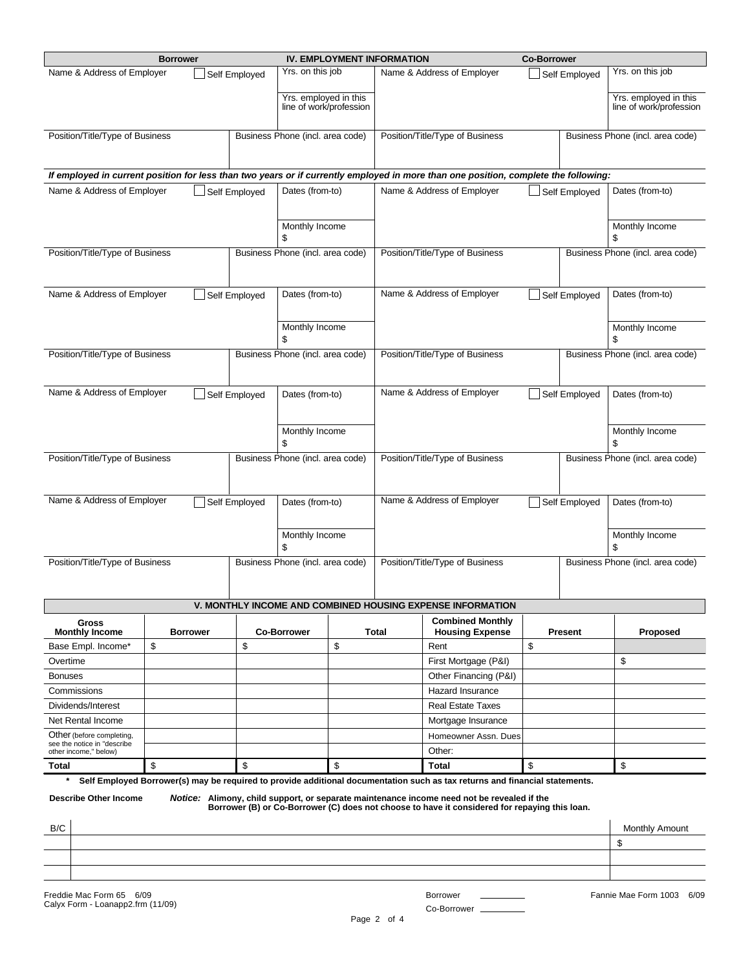|                                                          | <b>Borrower</b> |                                                  |                                  | <b>IV. EMPLOYMENT INFORMATION</b> |       |                                                                                                                                                                                                    |                                                  | <b>Co-Borrower</b> |                                  |  |  |
|----------------------------------------------------------|-----------------|--------------------------------------------------|----------------------------------|-----------------------------------|-------|----------------------------------------------------------------------------------------------------------------------------------------------------------------------------------------------------|--------------------------------------------------|--------------------|----------------------------------|--|--|
| Name & Address of Employer                               |                 | Self Employed                                    | Yrs. on this job                 |                                   |       | Name & Address of Employer                                                                                                                                                                         |                                                  | Self Employed      | Yrs. on this job                 |  |  |
|                                                          |                 | Yrs. employed in this<br>line of work/profession |                                  |                                   |       |                                                                                                                                                                                                    | Yrs. employed in this<br>line of work/profession |                    |                                  |  |  |
| Position/Title/Type of Business                          |                 |                                                  | Business Phone (incl. area code) |                                   |       | Position/Title/Type of Business                                                                                                                                                                    |                                                  |                    | Business Phone (incl. area code) |  |  |
|                                                          |                 |                                                  |                                  |                                   |       |                                                                                                                                                                                                    |                                                  |                    |                                  |  |  |
|                                                          |                 |                                                  |                                  |                                   |       |                                                                                                                                                                                                    |                                                  |                    |                                  |  |  |
| Name & Address of Employer                               |                 |                                                  |                                  |                                   |       | If employed in current position for less than two years or if currently employed in more than one position, complete the following:<br>Name & Address of Employer                                  |                                                  |                    | Dates (from-to)                  |  |  |
|                                                          |                 | Self Employed                                    | Dates (from-to)                  |                                   |       |                                                                                                                                                                                                    |                                                  | Self Employed      |                                  |  |  |
|                                                          |                 |                                                  |                                  |                                   |       |                                                                                                                                                                                                    |                                                  |                    |                                  |  |  |
|                                                          |                 |                                                  | Monthly Income                   |                                   |       |                                                                                                                                                                                                    |                                                  | Monthly Income     |                                  |  |  |
| Position/Title/Type of Business                          |                 |                                                  | Business Phone (incl. area code) |                                   |       | Position/Title/Type of Business                                                                                                                                                                    |                                                  |                    | Business Phone (incl. area code) |  |  |
|                                                          |                 |                                                  |                                  |                                   |       |                                                                                                                                                                                                    |                                                  |                    |                                  |  |  |
|                                                          |                 | Self Employed                                    | Dates (from-to)                  |                                   |       | Name & Address of Employer                                                                                                                                                                         |                                                  |                    | Dates (from-to)                  |  |  |
| Name & Address of Employer                               |                 |                                                  |                                  |                                   |       |                                                                                                                                                                                                    |                                                  | Self Employed      |                                  |  |  |
|                                                          |                 |                                                  | Monthly Income                   |                                   |       |                                                                                                                                                                                                    |                                                  |                    |                                  |  |  |
|                                                          |                 |                                                  | \$                               |                                   |       |                                                                                                                                                                                                    |                                                  |                    | Monthly Income                   |  |  |
| Position/Title/Type of Business                          |                 |                                                  | Business Phone (incl. area code) |                                   |       | Position/Title/Type of Business                                                                                                                                                                    |                                                  |                    | Business Phone (incl. area code) |  |  |
|                                                          |                 |                                                  |                                  |                                   |       |                                                                                                                                                                                                    |                                                  |                    |                                  |  |  |
| Name & Address of Employer                               |                 | Self Employed                                    | Dates (from-to)                  |                                   |       | Name & Address of Employer                                                                                                                                                                         |                                                  | Self Employed      | Dates (from-to)                  |  |  |
|                                                          |                 |                                                  |                                  |                                   |       |                                                                                                                                                                                                    |                                                  |                    |                                  |  |  |
|                                                          |                 |                                                  |                                  |                                   |       |                                                                                                                                                                                                    |                                                  |                    |                                  |  |  |
|                                                          |                 |                                                  | Monthly Income<br>\$             |                                   |       |                                                                                                                                                                                                    |                                                  |                    | Monthly Income                   |  |  |
| Position/Title/Type of Business                          |                 |                                                  | Business Phone (incl. area code) |                                   |       | Position/Title/Type of Business                                                                                                                                                                    |                                                  |                    | Business Phone (incl. area code) |  |  |
|                                                          |                 |                                                  |                                  |                                   |       |                                                                                                                                                                                                    |                                                  |                    |                                  |  |  |
|                                                          |                 |                                                  |                                  |                                   |       |                                                                                                                                                                                                    |                                                  |                    |                                  |  |  |
| Name & Address of Employer                               |                 | Self Employed                                    | Dates (from-to)                  |                                   |       | Name & Address of Employer                                                                                                                                                                         |                                                  | Self Employed      | Dates (from-to)                  |  |  |
|                                                          |                 |                                                  |                                  |                                   |       |                                                                                                                                                                                                    |                                                  |                    |                                  |  |  |
|                                                          |                 |                                                  | Monthly Income                   |                                   |       |                                                                                                                                                                                                    |                                                  |                    | Monthly Income                   |  |  |
| Position/Title/Type of Business                          |                 |                                                  | Business Phone (incl. area code) |                                   |       | Position/Title/Type of Business                                                                                                                                                                    |                                                  |                    | Business Phone (incl. area code) |  |  |
|                                                          |                 |                                                  |                                  |                                   |       |                                                                                                                                                                                                    |                                                  |                    |                                  |  |  |
|                                                          |                 |                                                  |                                  |                                   |       |                                                                                                                                                                                                    |                                                  |                    |                                  |  |  |
|                                                          |                 |                                                  |                                  |                                   |       | V. MONTHLY INCOME AND COMBINED HOUSING EXPENSE INFORMATION                                                                                                                                         |                                                  |                    |                                  |  |  |
| Gross<br><b>Monthly Income</b>                           | <b>Borrower</b> |                                                  | <b>Co-Borrower</b>               |                                   | Total | <b>Combined Monthly</b><br><b>Housing Expense</b>                                                                                                                                                  |                                                  | <b>Present</b>     | <b>Proposed</b>                  |  |  |
| Base Empl. Income*                                       | \$              | \$                                               |                                  | \$                                |       | Rent                                                                                                                                                                                               | \$                                               |                    |                                  |  |  |
| Overtime                                                 |                 |                                                  |                                  |                                   |       | First Mortgage (P&I)                                                                                                                                                                               |                                                  |                    | \$                               |  |  |
| <b>Bonuses</b>                                           |                 |                                                  |                                  |                                   |       | Other Financing (P&I)                                                                                                                                                                              |                                                  |                    |                                  |  |  |
| Commissions                                              |                 |                                                  |                                  |                                   |       | <b>Hazard Insurance</b>                                                                                                                                                                            |                                                  |                    |                                  |  |  |
| Dividends/Interest                                       |                 |                                                  |                                  |                                   |       | <b>Real Estate Taxes</b>                                                                                                                                                                           |                                                  |                    |                                  |  |  |
| Net Rental Income                                        |                 |                                                  |                                  |                                   |       | Mortgage Insurance                                                                                                                                                                                 |                                                  |                    |                                  |  |  |
| Other (before completing,<br>see the notice in "describe |                 |                                                  |                                  |                                   |       | Homeowner Assn. Dues                                                                                                                                                                               |                                                  |                    |                                  |  |  |
| other income," below)                                    |                 |                                                  |                                  |                                   |       | Other:                                                                                                                                                                                             |                                                  |                    |                                  |  |  |
| <b>Total</b>                                             | \$              | \$                                               |                                  | \$                                |       | <b>Total</b>                                                                                                                                                                                       | \$                                               |                    | \$                               |  |  |
|                                                          |                 |                                                  |                                  |                                   |       | Self Employed Borrower(s) may be required to provide additional documentation such as tax returns and financial statements.                                                                        |                                                  |                    |                                  |  |  |
| <b>Describe Other Income</b>                             |                 |                                                  |                                  |                                   |       | <i>Notice:</i> Alimony, child support, or separate maintenance income need not be revealed if the<br>Borrower (B) or Co-Borrower (C) does not choose to have it considered for repaying this loan. |                                                  |                    |                                  |  |  |
|                                                          |                 |                                                  |                                  |                                   |       |                                                                                                                                                                                                    |                                                  |                    |                                  |  |  |

| B/C | ' Amount<br>Monthly |
|-----|---------------------|
|     |                     |
|     |                     |
|     |                     |
|     |                     |

Borrower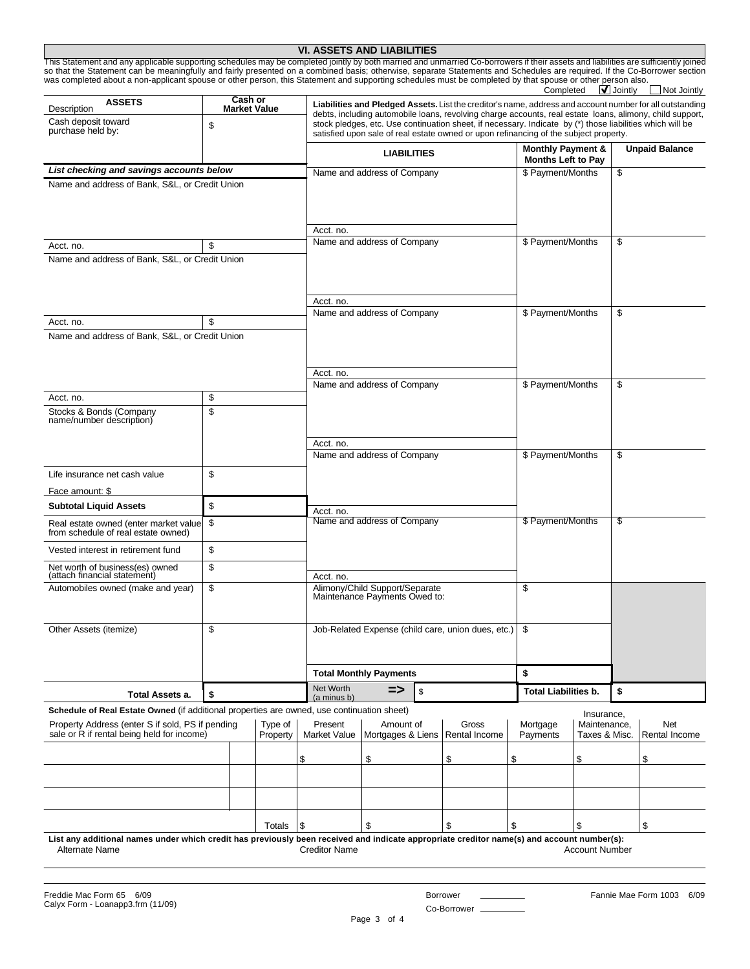|                                                                                                                                                                                                                                                                                                                                                                                                                                                                                                                               |          |                                |                     |                             | <b>VI. ASSETS AND LIABILITIES</b>                                                                                                                                                                                                                                                                              |                        |                                                           |                                             |                   |                       |  |  |  |
|-------------------------------------------------------------------------------------------------------------------------------------------------------------------------------------------------------------------------------------------------------------------------------------------------------------------------------------------------------------------------------------------------------------------------------------------------------------------------------------------------------------------------------|----------|--------------------------------|---------------------|-----------------------------|----------------------------------------------------------------------------------------------------------------------------------------------------------------------------------------------------------------------------------------------------------------------------------------------------------------|------------------------|-----------------------------------------------------------|---------------------------------------------|-------------------|-----------------------|--|--|--|
| This Statement and any applicable supporting schedules may be completed jointly by both married and unmarried Co-borrowers if their assets and liabilities are sufficiently joined<br>so that the Statement can be meaningfully and fairly presented on a combined basis; otherwise, separate Statements and Schedules are required. If the Co-Borrower section<br>was completed about a non-applicant spouse or other person, this Statement and supporting schedules must be completed by that spouse or other person also. |          |                                |                     |                             |                                                                                                                                                                                                                                                                                                                |                        | Completed                                                 |                                             | $\bigvee$ Jointly | Not Jointly           |  |  |  |
| <b>ASSETS</b><br>Description                                                                                                                                                                                                                                                                                                                                                                                                                                                                                                  |          | Cash or<br><b>Market Value</b> |                     |                             | Liabilities and Pledged Assets. List the creditor's name, address and account number for all outstanding                                                                                                                                                                                                       |                        |                                                           |                                             |                   |                       |  |  |  |
| Cash deposit toward<br>purchase held by:                                                                                                                                                                                                                                                                                                                                                                                                                                                                                      | \$       |                                |                     |                             | debts, including automobile loans, revolving charge accounts, real estate loans, alimony, child support,<br>stock pledges, etc. Use continuation sheet, if necessary. Indicate by (*) those liabilities which will be<br>satisfied upon sale of real estate owned or upon refinancing of the subject property. |                        |                                                           |                                             |                   |                       |  |  |  |
|                                                                                                                                                                                                                                                                                                                                                                                                                                                                                                                               |          |                                |                     |                             | <b>LIABILITIES</b>                                                                                                                                                                                                                                                                                             |                        | <b>Monthly Payment &amp;</b><br><b>Months Left to Pay</b> |                                             |                   | <b>Unpaid Balance</b> |  |  |  |
| List checking and savings accounts below                                                                                                                                                                                                                                                                                                                                                                                                                                                                                      |          |                                |                     |                             | Name and address of Company                                                                                                                                                                                                                                                                                    |                        | \$ Payment/Months                                         |                                             | \$                |                       |  |  |  |
| Name and address of Bank, S&L, or Credit Union                                                                                                                                                                                                                                                                                                                                                                                                                                                                                |          |                                |                     | Acct. no.                   |                                                                                                                                                                                                                                                                                                                |                        |                                                           |                                             |                   |                       |  |  |  |
| Acct. no.                                                                                                                                                                                                                                                                                                                                                                                                                                                                                                                     | \$       |                                |                     |                             | Name and address of Company                                                                                                                                                                                                                                                                                    |                        | \$ Payment/Months                                         |                                             | \$                |                       |  |  |  |
| Name and address of Bank, S&L, or Credit Union                                                                                                                                                                                                                                                                                                                                                                                                                                                                                |          |                                |                     | Acct. no.                   |                                                                                                                                                                                                                                                                                                                |                        |                                                           |                                             |                   |                       |  |  |  |
|                                                                                                                                                                                                                                                                                                                                                                                                                                                                                                                               |          |                                |                     |                             | Name and address of Company                                                                                                                                                                                                                                                                                    |                        | \$ Payment/Months                                         |                                             | \$                |                       |  |  |  |
| Acct. no.                                                                                                                                                                                                                                                                                                                                                                                                                                                                                                                     | \$       |                                |                     |                             |                                                                                                                                                                                                                                                                                                                |                        |                                                           |                                             |                   |                       |  |  |  |
| Name and address of Bank, S&L, or Credit Union                                                                                                                                                                                                                                                                                                                                                                                                                                                                                |          |                                |                     |                             |                                                                                                                                                                                                                                                                                                                |                        |                                                           |                                             |                   |                       |  |  |  |
|                                                                                                                                                                                                                                                                                                                                                                                                                                                                                                                               |          |                                |                     | Acct. no.                   | Name and address of Company                                                                                                                                                                                                                                                                                    |                        | \$ Payment/Months                                         | \$                                          |                   |                       |  |  |  |
| Acct. no.                                                                                                                                                                                                                                                                                                                                                                                                                                                                                                                     | \$       |                                |                     |                             |                                                                                                                                                                                                                                                                                                                |                        |                                                           |                                             |                   |                       |  |  |  |
| \$<br>Stocks & Bonds (Company<br>name/number description)                                                                                                                                                                                                                                                                                                                                                                                                                                                                     |          |                                |                     |                             |                                                                                                                                                                                                                                                                                                                |                        |                                                           |                                             |                   |                       |  |  |  |
|                                                                                                                                                                                                                                                                                                                                                                                                                                                                                                                               |          |                                | Acct. no.           | Name and address of Company |                                                                                                                                                                                                                                                                                                                | \$ Payment/Months      |                                                           | \$                                          |                   |                       |  |  |  |
| Life insurance net cash value<br>Face amount: \$                                                                                                                                                                                                                                                                                                                                                                                                                                                                              | \$       |                                |                     |                             |                                                                                                                                                                                                                                                                                                                |                        |                                                           |                                             |                   |                       |  |  |  |
| <b>Subtotal Liquid Assets</b>                                                                                                                                                                                                                                                                                                                                                                                                                                                                                                 | \$       |                                |                     |                             |                                                                                                                                                                                                                                                                                                                |                        |                                                           |                                             |                   |                       |  |  |  |
| Real estate owned (enter market value)                                                                                                                                                                                                                                                                                                                                                                                                                                                                                        | \$       |                                |                     | Acct. no.                   | Name and address of Company                                                                                                                                                                                                                                                                                    |                        |                                                           | \$ Payment/Months<br>\$                     |                   |                       |  |  |  |
| from schedule of real estate owned)                                                                                                                                                                                                                                                                                                                                                                                                                                                                                           |          |                                |                     |                             |                                                                                                                                                                                                                                                                                                                |                        |                                                           |                                             |                   |                       |  |  |  |
| Vested interest in retirement fund                                                                                                                                                                                                                                                                                                                                                                                                                                                                                            | \$<br>\$ |                                |                     |                             |                                                                                                                                                                                                                                                                                                                |                        |                                                           |                                             |                   |                       |  |  |  |
| Net worth of business(es) owned<br>(attach financial statement)                                                                                                                                                                                                                                                                                                                                                                                                                                                               |          |                                |                     | Acct. no.                   |                                                                                                                                                                                                                                                                                                                |                        |                                                           |                                             |                   |                       |  |  |  |
| Automobiles owned (make and year)                                                                                                                                                                                                                                                                                                                                                                                                                                                                                             | \$       |                                |                     |                             | Alimony/Child Support/Separate<br>Maintenance Payments Owed to:                                                                                                                                                                                                                                                | \$                     |                                                           |                                             |                   |                       |  |  |  |
| Other Assets (itemize)                                                                                                                                                                                                                                                                                                                                                                                                                                                                                                        | \$       |                                |                     |                             | Job-Related Expense (child care, union dues, etc.)                                                                                                                                                                                                                                                             |                        | \$                                                        |                                             |                   |                       |  |  |  |
|                                                                                                                                                                                                                                                                                                                                                                                                                                                                                                                               |          |                                |                     |                             | <b>Total Monthly Payments</b>                                                                                                                                                                                                                                                                                  |                        | \$                                                        |                                             |                   |                       |  |  |  |
| Total Assets a.                                                                                                                                                                                                                                                                                                                                                                                                                                                                                                               | \$       |                                |                     | Net Worth<br>(a minus b)    | =><br>\$                                                                                                                                                                                                                                                                                                       |                        | <b>Total Liabilities b.</b>                               |                                             | \$                |                       |  |  |  |
| Schedule of Real Estate Owned (if additional properties are owned, use continuation sheet)                                                                                                                                                                                                                                                                                                                                                                                                                                    |          |                                |                     |                             |                                                                                                                                                                                                                                                                                                                |                        |                                                           |                                             |                   |                       |  |  |  |
| Property Address (enter S if sold, PS if pending<br>sale or R if rental being held for income)                                                                                                                                                                                                                                                                                                                                                                                                                                |          |                                | Type of<br>Property | Present<br>Market Value     | Amount of<br>Mortgages & Liens                                                                                                                                                                                                                                                                                 | Gross<br>Rental Income | Mortgage<br>Payments                                      | Insurance,<br>Maintenance,<br>Taxes & Misc. |                   | Net<br>Rental Income  |  |  |  |
|                                                                                                                                                                                                                                                                                                                                                                                                                                                                                                                               |          |                                |                     | \$                          | \$                                                                                                                                                                                                                                                                                                             | \$                     | \$                                                        | \$                                          |                   | \$                    |  |  |  |
|                                                                                                                                                                                                                                                                                                                                                                                                                                                                                                                               |          |                                |                     |                             |                                                                                                                                                                                                                                                                                                                |                        |                                                           |                                             |                   |                       |  |  |  |
|                                                                                                                                                                                                                                                                                                                                                                                                                                                                                                                               |          |                                |                     |                             |                                                                                                                                                                                                                                                                                                                |                        |                                                           |                                             |                   |                       |  |  |  |
|                                                                                                                                                                                                                                                                                                                                                                                                                                                                                                                               |          |                                | Totals              | \$                          | \$                                                                                                                                                                                                                                                                                                             | \$                     | \$                                                        | \$                                          |                   | \$                    |  |  |  |
| List any additional names under which credit has previously been received and indicate appropriate creditor name(s) and account number(s):<br>Alternate Name                                                                                                                                                                                                                                                                                                                                                                  |          |                                |                     | <b>Creditor Name</b>        |                                                                                                                                                                                                                                                                                                                |                        |                                                           | <b>Account Number</b>                       |                   |                       |  |  |  |
|                                                                                                                                                                                                                                                                                                                                                                                                                                                                                                                               |          |                                |                     |                             |                                                                                                                                                                                                                                                                                                                |                        |                                                           |                                             |                   |                       |  |  |  |
|                                                                                                                                                                                                                                                                                                                                                                                                                                                                                                                               |          |                                |                     |                             |                                                                                                                                                                                                                                                                                                                |                        |                                                           |                                             |                   |                       |  |  |  |

Borrower

Co-Borrower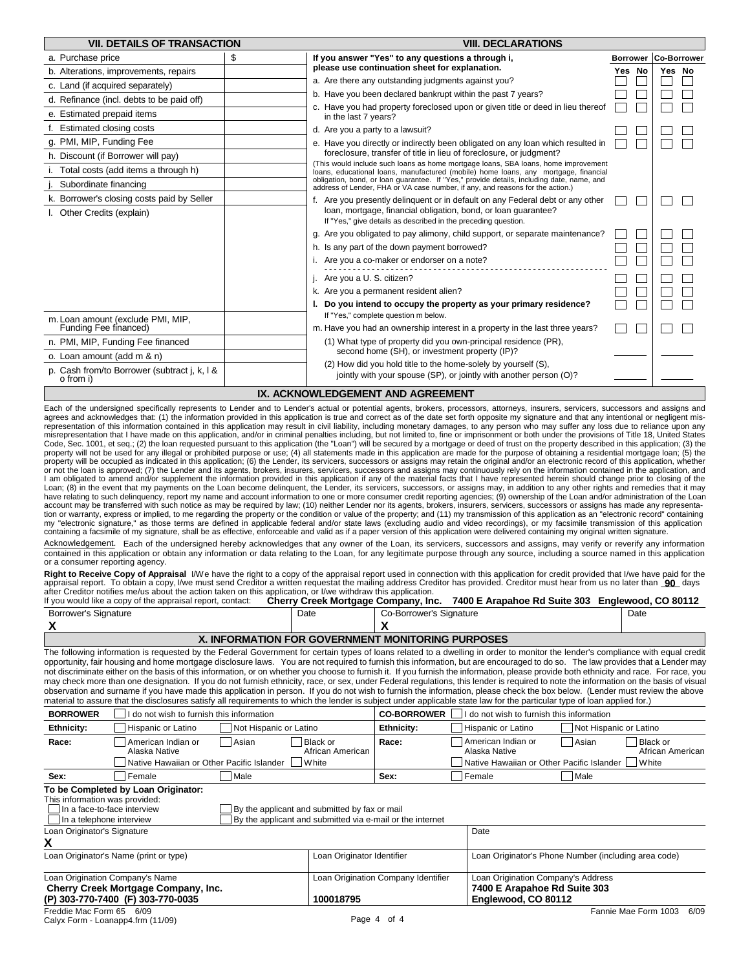| <b>VII. DETAILS OF TRANSACTION</b>                        | <b>VIII. DECLARATIONS</b>                                                                                                                                                                                                                                                                                                                                                                                                                                                                                                                                                                                                                                                                                                                                                                                                                                                                                                                                                                                                                                                                                                                                                                                                                                                                                                                                                                          |        |                      |  |  |  |  |  |
|-----------------------------------------------------------|----------------------------------------------------------------------------------------------------------------------------------------------------------------------------------------------------------------------------------------------------------------------------------------------------------------------------------------------------------------------------------------------------------------------------------------------------------------------------------------------------------------------------------------------------------------------------------------------------------------------------------------------------------------------------------------------------------------------------------------------------------------------------------------------------------------------------------------------------------------------------------------------------------------------------------------------------------------------------------------------------------------------------------------------------------------------------------------------------------------------------------------------------------------------------------------------------------------------------------------------------------------------------------------------------------------------------------------------------------------------------------------------------|--------|----------------------|--|--|--|--|--|
| a. Purchase price                                         | \$<br>If you answer "Yes" to any questions a through i,                                                                                                                                                                                                                                                                                                                                                                                                                                                                                                                                                                                                                                                                                                                                                                                                                                                                                                                                                                                                                                                                                                                                                                                                                                                                                                                                            |        | Borrower Co-Borrower |  |  |  |  |  |
| b. Alterations, improvements, repairs                     | please use continuation sheet for explanation.                                                                                                                                                                                                                                                                                                                                                                                                                                                                                                                                                                                                                                                                                                                                                                                                                                                                                                                                                                                                                                                                                                                                                                                                                                                                                                                                                     | Yes No | Yes No               |  |  |  |  |  |
| c. Land (if acquired separately)                          | a. Are there any outstanding judgments against you?                                                                                                                                                                                                                                                                                                                                                                                                                                                                                                                                                                                                                                                                                                                                                                                                                                                                                                                                                                                                                                                                                                                                                                                                                                                                                                                                                |        |                      |  |  |  |  |  |
| d. Refinance (incl. debts to be paid off)                 | b. Have you been declared bankrupt within the past 7 years?                                                                                                                                                                                                                                                                                                                                                                                                                                                                                                                                                                                                                                                                                                                                                                                                                                                                                                                                                                                                                                                                                                                                                                                                                                                                                                                                        |        |                      |  |  |  |  |  |
| e. Estimated prepaid items                                | c. Have you had property foreclosed upon or given title or deed in lieu thereof<br>in the last 7 years?                                                                                                                                                                                                                                                                                                                                                                                                                                                                                                                                                                                                                                                                                                                                                                                                                                                                                                                                                                                                                                                                                                                                                                                                                                                                                            |        |                      |  |  |  |  |  |
| f. Estimated closing costs                                | d. Are you a party to a lawsuit?                                                                                                                                                                                                                                                                                                                                                                                                                                                                                                                                                                                                                                                                                                                                                                                                                                                                                                                                                                                                                                                                                                                                                                                                                                                                                                                                                                   |        |                      |  |  |  |  |  |
| g. PMI, MIP, Funding Fee                                  | e. Have you directly or indirectly been obligated on any loan which resulted in                                                                                                                                                                                                                                                                                                                                                                                                                                                                                                                                                                                                                                                                                                                                                                                                                                                                                                                                                                                                                                                                                                                                                                                                                                                                                                                    |        |                      |  |  |  |  |  |
| h. Discount (if Borrower will pay)                        | foreclosure, transfer of title in lieu of foreclosure, or judgment?                                                                                                                                                                                                                                                                                                                                                                                                                                                                                                                                                                                                                                                                                                                                                                                                                                                                                                                                                                                                                                                                                                                                                                                                                                                                                                                                |        |                      |  |  |  |  |  |
| i. Total costs (add items a through h)                    | (This would include such loans as home mortgage loans, SBA loans, home improvement<br>loans, educational loans, manufactured (mobile) home loans, any mortgage, financial                                                                                                                                                                                                                                                                                                                                                                                                                                                                                                                                                                                                                                                                                                                                                                                                                                                                                                                                                                                                                                                                                                                                                                                                                          |        |                      |  |  |  |  |  |
| Subordinate financing                                     | obligation, bond, or loan guarantee. If "Yes," provide details, including date, name, and<br>address of Lender, FHA or VA case number, if any, and reasons for the action.)                                                                                                                                                                                                                                                                                                                                                                                                                                                                                                                                                                                                                                                                                                                                                                                                                                                                                                                                                                                                                                                                                                                                                                                                                        |        |                      |  |  |  |  |  |
| k. Borrower's closing costs paid by Seller                | f. Are you presently delinguent or in default on any Federal debt or any other                                                                                                                                                                                                                                                                                                                                                                                                                                                                                                                                                                                                                                                                                                                                                                                                                                                                                                                                                                                                                                                                                                                                                                                                                                                                                                                     |        |                      |  |  |  |  |  |
| I. Other Credits (explain)                                | loan, mortgage, financial obligation, bond, or loan guarantee?<br>If "Yes," give details as described in the preceding question.                                                                                                                                                                                                                                                                                                                                                                                                                                                                                                                                                                                                                                                                                                                                                                                                                                                                                                                                                                                                                                                                                                                                                                                                                                                                   |        |                      |  |  |  |  |  |
|                                                           | g. Are you obligated to pay alimony, child support, or separate maintenance?                                                                                                                                                                                                                                                                                                                                                                                                                                                                                                                                                                                                                                                                                                                                                                                                                                                                                                                                                                                                                                                                                                                                                                                                                                                                                                                       |        |                      |  |  |  |  |  |
|                                                           | h. Is any part of the down payment borrowed?                                                                                                                                                                                                                                                                                                                                                                                                                                                                                                                                                                                                                                                                                                                                                                                                                                                                                                                                                                                                                                                                                                                                                                                                                                                                                                                                                       |        |                      |  |  |  |  |  |
|                                                           | Are you a co-maker or endorser on a note?                                                                                                                                                                                                                                                                                                                                                                                                                                                                                                                                                                                                                                                                                                                                                                                                                                                                                                                                                                                                                                                                                                                                                                                                                                                                                                                                                          |        |                      |  |  |  |  |  |
|                                                           | Are you a U. S. citizen?                                                                                                                                                                                                                                                                                                                                                                                                                                                                                                                                                                                                                                                                                                                                                                                                                                                                                                                                                                                                                                                                                                                                                                                                                                                                                                                                                                           |        |                      |  |  |  |  |  |
|                                                           | k. Are you a permanent resident alien?                                                                                                                                                                                                                                                                                                                                                                                                                                                                                                                                                                                                                                                                                                                                                                                                                                                                                                                                                                                                                                                                                                                                                                                                                                                                                                                                                             |        |                      |  |  |  |  |  |
|                                                           | I. Do you intend to occupy the property as your primary residence?                                                                                                                                                                                                                                                                                                                                                                                                                                                                                                                                                                                                                                                                                                                                                                                                                                                                                                                                                                                                                                                                                                                                                                                                                                                                                                                                 |        |                      |  |  |  |  |  |
| m. Loan amount (exclude PMI, MIP,                         | If "Yes," complete question m below.                                                                                                                                                                                                                                                                                                                                                                                                                                                                                                                                                                                                                                                                                                                                                                                                                                                                                                                                                                                                                                                                                                                                                                                                                                                                                                                                                               |        |                      |  |  |  |  |  |
| Funding Fee financed)                                     | m. Have you had an ownership interest in a property in the last three years?                                                                                                                                                                                                                                                                                                                                                                                                                                                                                                                                                                                                                                                                                                                                                                                                                                                                                                                                                                                                                                                                                                                                                                                                                                                                                                                       |        |                      |  |  |  |  |  |
| n. PMI, MIP, Funding Fee financed                         | (1) What type of property did you own-principal residence (PR),<br>second home (SH), or investment property (IP)?                                                                                                                                                                                                                                                                                                                                                                                                                                                                                                                                                                                                                                                                                                                                                                                                                                                                                                                                                                                                                                                                                                                                                                                                                                                                                  |        |                      |  |  |  |  |  |
| o. Loan amount (add m & n)                                | (2) How did you hold title to the home-solely by yourself (S),                                                                                                                                                                                                                                                                                                                                                                                                                                                                                                                                                                                                                                                                                                                                                                                                                                                                                                                                                                                                                                                                                                                                                                                                                                                                                                                                     |        |                      |  |  |  |  |  |
| p. Cash from/to Borrower (subtract j, k, I &<br>o from i) | jointly with your spouse (SP), or jointly with another person (O)?                                                                                                                                                                                                                                                                                                                                                                                                                                                                                                                                                                                                                                                                                                                                                                                                                                                                                                                                                                                                                                                                                                                                                                                                                                                                                                                                 |        |                      |  |  |  |  |  |
|                                                           | IX. ACKNOWLEDGEMENT AND AGREEMENT                                                                                                                                                                                                                                                                                                                                                                                                                                                                                                                                                                                                                                                                                                                                                                                                                                                                                                                                                                                                                                                                                                                                                                                                                                                                                                                                                                  |        |                      |  |  |  |  |  |
|                                                           | Each of the undersigned specifically represents to Lender and to Lender's actual or potential agents, brokers, processors, attorneys, insurers, servicers, successors and assigns and<br>agrees and acknowledges that: (1) the information provided in this application is true and correct as of the date set forth opposite my signature and that any intentional or negligent mis-<br>representation of this information contained in this application may result in civil liability, including monetary damages, to any person who may suffer any loss due to reliance upon any<br>misrepresentation that I have made on this application, and/or in criminal penalties including, but not limited to, fine or imprisonment or both under the provisions of Title 18, United States<br>Code, Sec. 1001, et seq.; (2) the loan requested pursuant to this application (the "Loan") will be secured by a mortgage or deed of trust on the property described in this application; (3) the<br>property will not be used for any illegal or prohibited purpose or use; (4) all statements made in this application are made for the purpose of obtaining a residential mortgage loan; (5) the<br>property will be occupied as indicated in this application; (6) the Lender, its servicers, successors or assigns may retain the original and/or an electronic record of this application, whether |        |                      |  |  |  |  |  |

property will be occupied as indicated in this application; (6) the Lender, its servicers, successors or assigns may retain the original and/or an electronic record of this application, whether<br>or not the loan is approved; containing a facsimile of my signature, shall be as effective, enforceable and valid as if a paper version of this application were delivered containing my original written signature.

Acknowledgement. Each of the undersigned hereby acknowledges that any owner of the Loan, its servicers, successors and assigns, may verify or reverify any information contained in this application or obtain any information or data relating to the Loan, for any legitimate purpose through any source, including a source named in this application or a consumer reporting agency.

R**ight to Receive Copy of Appraisal** I/We have the right to a copy of the appraisal report used in connection with this application for credit provided that I/we have paid for the<br>appraisal report. To obtain a copy, I/we m

| If you would like a copy of the appraisal report, contact:                                                                                                                                                                                                                                                                                                                                                                                                                                                                                                                                                                                                                                                                                                                                                                                                                                                                                                                                                                                                                                                         | Cherry Creek Mortgage Company, Inc. 7400 E Arapahoe Rd Suite 303 Englewood, CO 80112                       |                         |                                                                                          |                        |                              |
|--------------------------------------------------------------------------------------------------------------------------------------------------------------------------------------------------------------------------------------------------------------------------------------------------------------------------------------------------------------------------------------------------------------------------------------------------------------------------------------------------------------------------------------------------------------------------------------------------------------------------------------------------------------------------------------------------------------------------------------------------------------------------------------------------------------------------------------------------------------------------------------------------------------------------------------------------------------------------------------------------------------------------------------------------------------------------------------------------------------------|------------------------------------------------------------------------------------------------------------|-------------------------|------------------------------------------------------------------------------------------|------------------------|------------------------------|
| Borrower's Signature                                                                                                                                                                                                                                                                                                                                                                                                                                                                                                                                                                                                                                                                                                                                                                                                                                                                                                                                                                                                                                                                                               | Date                                                                                                       | Co-Borrower's Signature |                                                                                          |                        | Date                         |
| x                                                                                                                                                                                                                                                                                                                                                                                                                                                                                                                                                                                                                                                                                                                                                                                                                                                                                                                                                                                                                                                                                                                  |                                                                                                            |                         |                                                                                          |                        |                              |
|                                                                                                                                                                                                                                                                                                                                                                                                                                                                                                                                                                                                                                                                                                                                                                                                                                                                                                                                                                                                                                                                                                                    | <b>X. INFORMATION FOR GOVERNMENT MONITORING PURPOSES</b>                                                   |                         |                                                                                          |                        |                              |
| The following information is requested by the Federal Government for certain types of loans related to a dwelling in order to monitor the lender's compliance with equal credit<br>opportunity, fair housing and home mortgage disclosure laws. You are not required to furnish this information, but are encouraged to do so. The law provides that a Lender may<br>not discriminate either on the basis of this information, or on whether you choose to furnish it. If you furnish the information, please provide both ethnicity and race. For race, you<br>may check more than one designation. If you do not furnish ethnicity, race, or sex, under Federal regulations, this lender is required to note the information on the basis of visual<br>observation and surname if you have made this application in person. If you do not wish to furnish the information, please check the box below. (Lender must review the above<br>material to assure that the disclosures satisfy all requirements to which the lender is subject under applicable state law for the particular type of loan applied for.) |                                                                                                            |                         |                                                                                          |                        |                              |
| <b>BORROWER</b><br>do not wish to furnish this information                                                                                                                                                                                                                                                                                                                                                                                                                                                                                                                                                                                                                                                                                                                                                                                                                                                                                                                                                                                                                                                         |                                                                                                            | <b>CO-BORROWER</b>      | I do not wish to furnish this information                                                |                        |                              |
| Ethnicity:<br>Hispanic or Latino                                                                                                                                                                                                                                                                                                                                                                                                                                                                                                                                                                                                                                                                                                                                                                                                                                                                                                                                                                                                                                                                                   | Not Hispanic or Latino                                                                                     | Ethnicity:              | Hispanic or Latino                                                                       | Not Hispanic or Latino |                              |
| Race:<br>American Indian or<br>l Asian<br>Alaska Native<br>Native Hawaiian or Other Pacific Islander                                                                                                                                                                                                                                                                                                                                                                                                                                                                                                                                                                                                                                                                                                                                                                                                                                                                                                                                                                                                               | Black or<br>African American<br>White                                                                      | Race:                   | American Indian or<br>Alaska Native<br>Native Hawaiian or Other Pacific Islander   White | Asian                  | Black or<br>African American |
| Sex:<br>Female                                                                                                                                                                                                                                                                                                                                                                                                                                                                                                                                                                                                                                                                                                                                                                                                                                                                                                                                                                                                                                                                                                     | Male                                                                                                       | Sex:                    | Female                                                                                   | Male                   |                              |
| To be Completed by Loan Originator:<br>This information was provided:<br>In a face-to-face interview<br>In a telephone interview<br>Loan Originator's Signature<br>X                                                                                                                                                                                                                                                                                                                                                                                                                                                                                                                                                                                                                                                                                                                                                                                                                                                                                                                                               | By the applicant and submitted by fax or mail<br>By the applicant and submitted via e-mail or the internet |                         | Date                                                                                     |                        |                              |
| Loan Originator's Name (print or type)                                                                                                                                                                                                                                                                                                                                                                                                                                                                                                                                                                                                                                                                                                                                                                                                                                                                                                                                                                                                                                                                             | Loan Originator Identifier                                                                                 |                         | Loan Originator's Phone Number (including area code)                                     |                        |                              |

Loan Origination Company's Name

**Cherry Creek Mortgage Company, Inc.**

Loan Origination Company Identifier

Loan Origination Company's Address

**7400 E Arapahoe Rd Suite 303 Englewood, CO 80112**